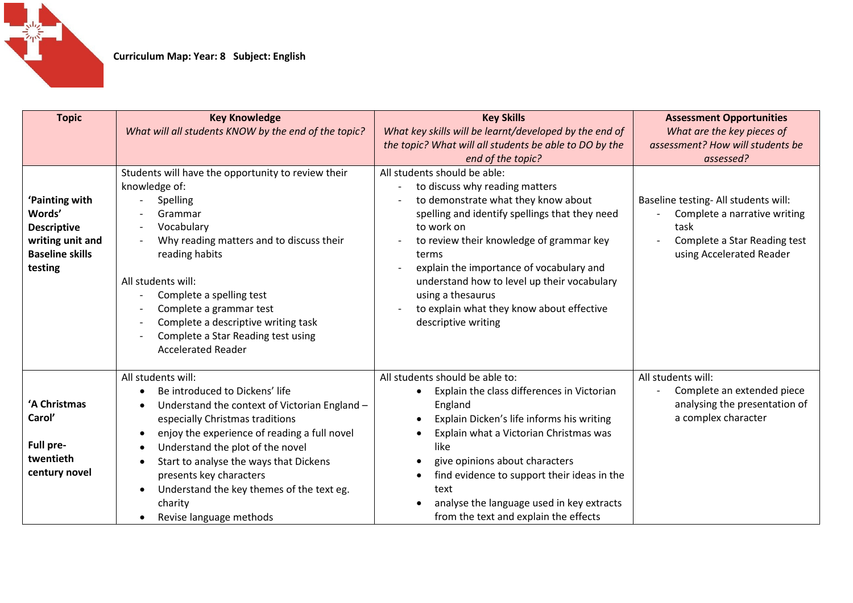

| <b>Topic</b>                                                                                            | <b>Key Knowledge</b><br>What will all students KNOW by the end of the topic?                                                                                                                                                                                                                                                                                                                                   | <b>Key Skills</b><br>What key skills will be learnt/developed by the end of<br>the topic? What will all students be able to DO by the<br>end of the topic?                                                                                                                                                                                                                                                     | <b>Assessment Opportunities</b><br>What are the key pieces of<br>assessment? How will students be<br>assessed?                           |
|---------------------------------------------------------------------------------------------------------|----------------------------------------------------------------------------------------------------------------------------------------------------------------------------------------------------------------------------------------------------------------------------------------------------------------------------------------------------------------------------------------------------------------|----------------------------------------------------------------------------------------------------------------------------------------------------------------------------------------------------------------------------------------------------------------------------------------------------------------------------------------------------------------------------------------------------------------|------------------------------------------------------------------------------------------------------------------------------------------|
| 'Painting with<br>Words'<br><b>Descriptive</b><br>writing unit and<br><b>Baseline skills</b><br>testing | Students will have the opportunity to review their<br>knowledge of:<br>Spelling<br>Grammar<br>Vocabulary<br>Why reading matters and to discuss their<br>reading habits<br>All students will:<br>Complete a spelling test<br>Complete a grammar test<br>Complete a descriptive writing task<br>Complete a Star Reading test using<br><b>Accelerated Reader</b>                                                  | All students should be able:<br>to discuss why reading matters<br>to demonstrate what they know about<br>spelling and identify spellings that they need<br>to work on<br>to review their knowledge of grammar key<br>terms<br>explain the importance of vocabulary and<br>understand how to level up their vocabulary<br>using a thesaurus<br>to explain what they know about effective<br>descriptive writing | Baseline testing- All students will:<br>Complete a narrative writing<br>task<br>Complete a Star Reading test<br>using Accelerated Reader |
| 'A Christmas<br>Carol'<br>Full pre-<br>twentieth<br>century novel                                       | All students will:<br>Be introduced to Dickens' life<br>Understand the context of Victorian England -<br>especially Christmas traditions<br>enjoy the experience of reading a full novel<br>$\bullet$<br>Understand the plot of the novel<br>Start to analyse the ways that Dickens<br>$\bullet$<br>presents key characters<br>Understand the key themes of the text eg.<br>charity<br>Revise language methods | All students should be able to:<br>Explain the class differences in Victorian<br>England<br>Explain Dicken's life informs his writing<br>Explain what a Victorian Christmas was<br>like<br>give opinions about characters<br>find evidence to support their ideas in the<br>text<br>analyse the language used in key extracts<br>from the text and explain the effects                                         | All students will:<br>Complete an extended piece<br>analysing the presentation of<br>a complex character                                 |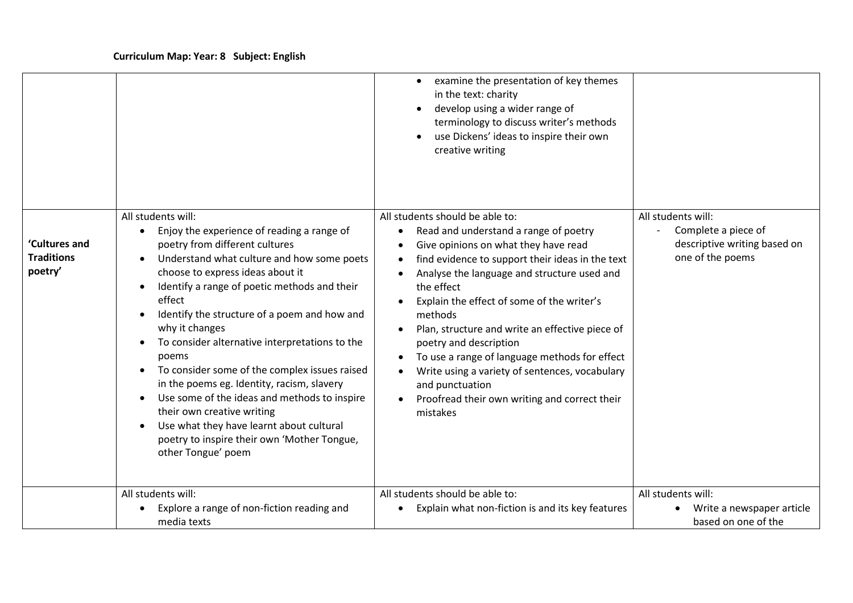|                                               |                                                                                                                                                                                                                                                                                                                                                                                                                                                                                                                                                                                                                                                                                                     | examine the presentation of key themes<br>in the text: charity<br>develop using a wider range of<br>terminology to discuss writer's methods<br>use Dickens' ideas to inspire their own<br>creative writing                                                                                                                                                                                                                                                                                                                                                                                        |                                                                                               |
|-----------------------------------------------|-----------------------------------------------------------------------------------------------------------------------------------------------------------------------------------------------------------------------------------------------------------------------------------------------------------------------------------------------------------------------------------------------------------------------------------------------------------------------------------------------------------------------------------------------------------------------------------------------------------------------------------------------------------------------------------------------------|---------------------------------------------------------------------------------------------------------------------------------------------------------------------------------------------------------------------------------------------------------------------------------------------------------------------------------------------------------------------------------------------------------------------------------------------------------------------------------------------------------------------------------------------------------------------------------------------------|-----------------------------------------------------------------------------------------------|
| 'Cultures and<br><b>Traditions</b><br>poetry' | All students will:<br>Enjoy the experience of reading a range of<br>poetry from different cultures<br>Understand what culture and how some poets<br>choose to express ideas about it<br>Identify a range of poetic methods and their<br>effect<br>Identify the structure of a poem and how and<br>$\bullet$<br>why it changes<br>To consider alternative interpretations to the<br>poems<br>To consider some of the complex issues raised<br>$\bullet$<br>in the poems eg. Identity, racism, slavery<br>Use some of the ideas and methods to inspire<br>their own creative writing<br>Use what they have learnt about cultural<br>poetry to inspire their own 'Mother Tongue,<br>other Tongue' poem | All students should be able to:<br>Read and understand a range of poetry<br>$\bullet$<br>Give opinions on what they have read<br>$\bullet$<br>find evidence to support their ideas in the text<br>$\bullet$<br>Analyse the language and structure used and<br>the effect<br>Explain the effect of some of the writer's<br>methods<br>Plan, structure and write an effective piece of<br>poetry and description<br>To use a range of language methods for effect<br>Write using a variety of sentences, vocabulary<br>and punctuation<br>Proofread their own writing and correct their<br>mistakes | All students will:<br>Complete a piece of<br>descriptive writing based on<br>one of the poems |
|                                               | All students will:<br>Explore a range of non-fiction reading and<br>media texts                                                                                                                                                                                                                                                                                                                                                                                                                                                                                                                                                                                                                     | All students should be able to:<br>Explain what non-fiction is and its key features<br>$\bullet$                                                                                                                                                                                                                                                                                                                                                                                                                                                                                                  | All students will:<br>Write a newspaper article<br>based on one of the                        |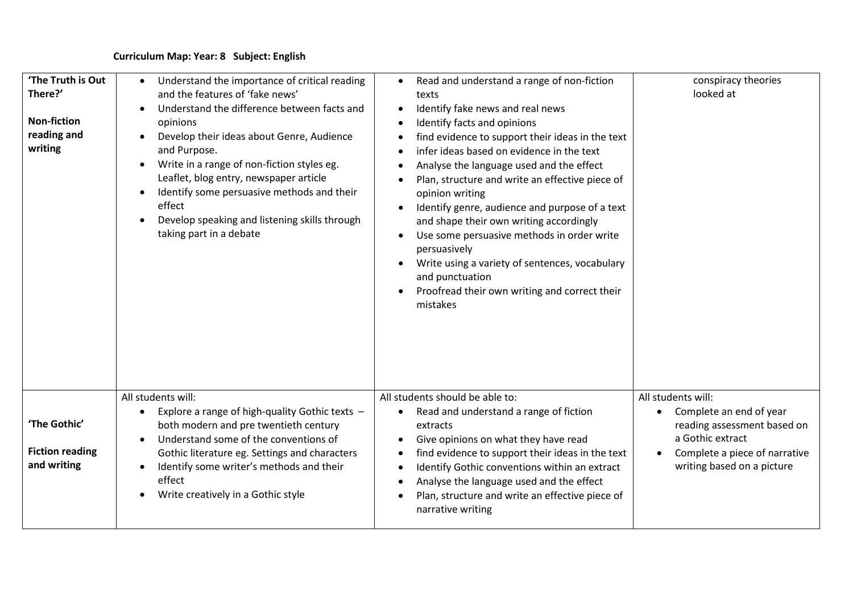| 'The Truth is Out<br>There?'<br><b>Non-fiction</b><br>reading and<br>writing | Understand the importance of critical reading<br>and the features of 'fake news'<br>Understand the difference between facts and<br>opinions<br>Develop their ideas about Genre, Audience<br>and Purpose.<br>Write in a range of non-fiction styles eg.<br>$\bullet$<br>Leaflet, blog entry, newspaper article<br>Identify some persuasive methods and their<br>effect<br>Develop speaking and listening skills through<br>taking part in a debate | Read and understand a range of non-fiction<br>texts<br>Identify fake news and real news<br>Identify facts and opinions<br>$\bullet$<br>find evidence to support their ideas in the text<br>infer ideas based on evidence in the text<br>Analyse the language used and the effect<br>Plan, structure and write an effective piece of<br>opinion writing<br>Identify genre, audience and purpose of a text<br>and shape their own writing accordingly<br>Use some persuasive methods in order write<br>persuasively<br>Write using a variety of sentences, vocabulary<br>and punctuation<br>Proofread their own writing and correct their<br>mistakes | conspiracy theories<br>looked at                                                                                                                                |
|------------------------------------------------------------------------------|---------------------------------------------------------------------------------------------------------------------------------------------------------------------------------------------------------------------------------------------------------------------------------------------------------------------------------------------------------------------------------------------------------------------------------------------------|-----------------------------------------------------------------------------------------------------------------------------------------------------------------------------------------------------------------------------------------------------------------------------------------------------------------------------------------------------------------------------------------------------------------------------------------------------------------------------------------------------------------------------------------------------------------------------------------------------------------------------------------------------|-----------------------------------------------------------------------------------------------------------------------------------------------------------------|
| 'The Gothic'<br><b>Fiction reading</b><br>and writing                        | All students will:<br>Explore a range of high-quality Gothic texts -<br>both modern and pre twentieth century<br>Understand some of the conventions of<br>$\bullet$<br>Gothic literature eg. Settings and characters<br>Identify some writer's methods and their<br>effect<br>Write creatively in a Gothic style<br>$\bullet$                                                                                                                     | All students should be able to:<br>Read and understand a range of fiction<br>extracts<br>Give opinions on what they have read<br>find evidence to support their ideas in the text<br>$\bullet$<br>Identify Gothic conventions within an extract<br>Analyse the language used and the effect<br>Plan, structure and write an effective piece of<br>narrative writing                                                                                                                                                                                                                                                                                 | All students will:<br>Complete an end of year<br>reading assessment based on<br>a Gothic extract<br>Complete a piece of narrative<br>writing based on a picture |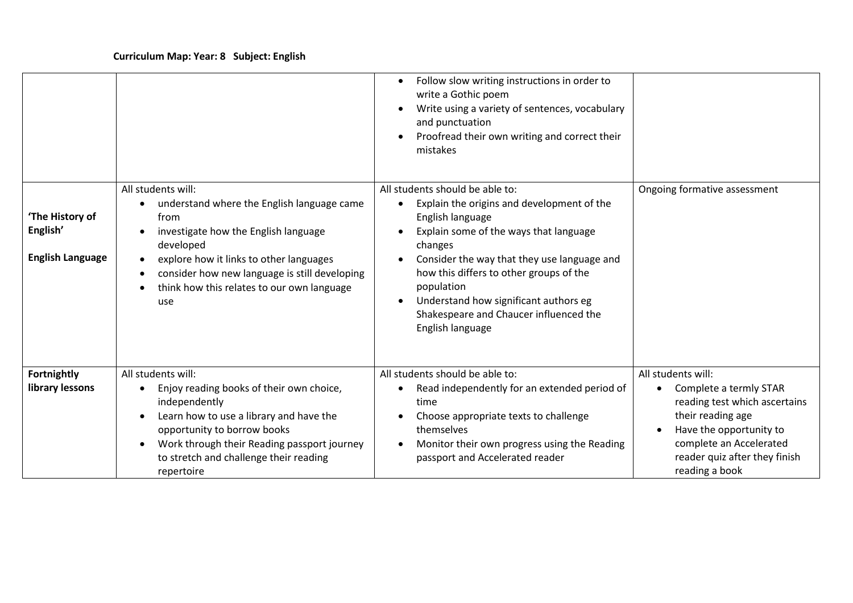|                                                        |                                                                                                                                                                                                                                                                                | Follow slow writing instructions in order to<br>write a Gothic poem<br>Write using a variety of sentences, vocabulary<br>and punctuation<br>Proofread their own writing and correct their<br>mistakes                                                                                                                                                                 |                                                                                                                                                                                                                          |
|--------------------------------------------------------|--------------------------------------------------------------------------------------------------------------------------------------------------------------------------------------------------------------------------------------------------------------------------------|-----------------------------------------------------------------------------------------------------------------------------------------------------------------------------------------------------------------------------------------------------------------------------------------------------------------------------------------------------------------------|--------------------------------------------------------------------------------------------------------------------------------------------------------------------------------------------------------------------------|
| 'The History of<br>English'<br><b>English Language</b> | All students will:<br>understand where the English language came<br>from<br>investigate how the English language<br>developed<br>explore how it links to other languages<br>consider how new language is still developing<br>think how this relates to our own language<br>use | All students should be able to:<br>Explain the origins and development of the<br>English language<br>Explain some of the ways that language<br>changes<br>Consider the way that they use language and<br>how this differs to other groups of the<br>population<br>Understand how significant authors eg<br>Shakespeare and Chaucer influenced the<br>English language | Ongoing formative assessment                                                                                                                                                                                             |
| Fortnightly<br>library lessons                         | All students will:<br>Enjoy reading books of their own choice,<br>independently<br>Learn how to use a library and have the<br>opportunity to borrow books<br>Work through their Reading passport journey<br>to stretch and challenge their reading<br>repertoire               | All students should be able to:<br>Read independently for an extended period of<br>time<br>Choose appropriate texts to challenge<br>themselves<br>Monitor their own progress using the Reading<br>passport and Accelerated reader                                                                                                                                     | All students will:<br>Complete a termly STAR<br>$\bullet$<br>reading test which ascertains<br>their reading age<br>Have the opportunity to<br>complete an Accelerated<br>reader quiz after they finish<br>reading a book |